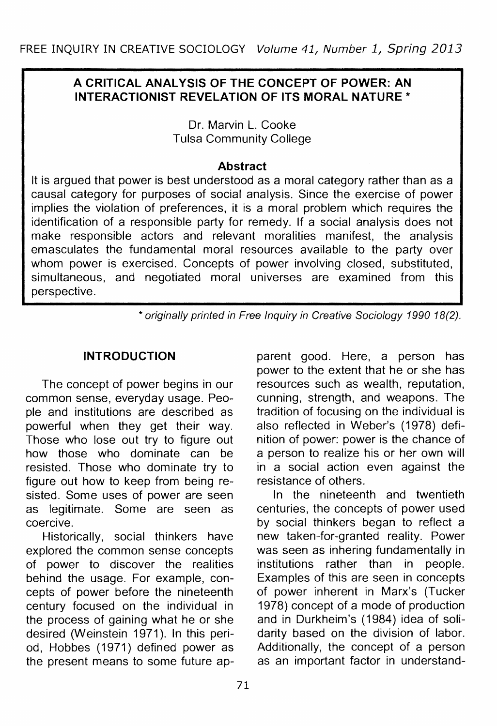# **A CRITICAL ANALYSIS OF THE CONCEPT OF POWER: AN INTERACTIONIST REVELATION OF ITS MORAL NATURE\***

Dr. Marvin L. Cooke Tulsa Community College

#### **Abstract**

It is argued that power is best understood as a moral category rather than as a causal category for purposes of social analysis. Since the exercise of power implies the violation of preferences, it is a moral problem which requires the identification of a responsible party for remedy. If a social analysis does not make responsible actors and relevant moralities manifest, the analysis emasculates the fundamental moral resources available to the party over whom power is exercised. Concepts of power involving closed, substituted, simultaneous, and negotiated moral universes are examined from this perspective.

\* originally printed in Free Inquiry in Creative Sociology 1990 18(2).

# **INTRODUCTION**

The concept of power begins in our common sense, everyday usage. People and institutions are described as powerful when they get their way. Those who lose out try to figure out how those who dominate can be resisted. Those who dominate try to figure out how to keep from being resisted. Some uses of power are seen as legitimate. Some are seen as coercive.

Historically, social thinkers have explored the common sense concepts of power to discover the realities behind the usage. For example, concepts of power before the nineteenth century focused on the individual in the process of gaining what he or she desired (Weinstein 1971). In this period, Hobbes (1971) defined power as the present means to some future apparent good. Here, a person has power to the extent that he or she has resources such as wealth, reputation, cunning, strength, and weapons. The tradition of focusing on the individual is also reflected in Weber's (1978) definition of power: power is the chance of a person to realize his or her own will in a social action even against the resistance of others.

In the nineteenth and twentieth centuries, the concepts of power used by social thinkers began to reflect a new taken-for-granted reality. Power was seen as inhering fundamentally in institutions rather than in people. Examples of this are seen in concepts of power inherent in Marx's (Tucker 1978) concept of a mode of production and in Durkheim's (1984) idea of solidarity based on the division of labor. Additionally, the concept of a person as an important factor in understand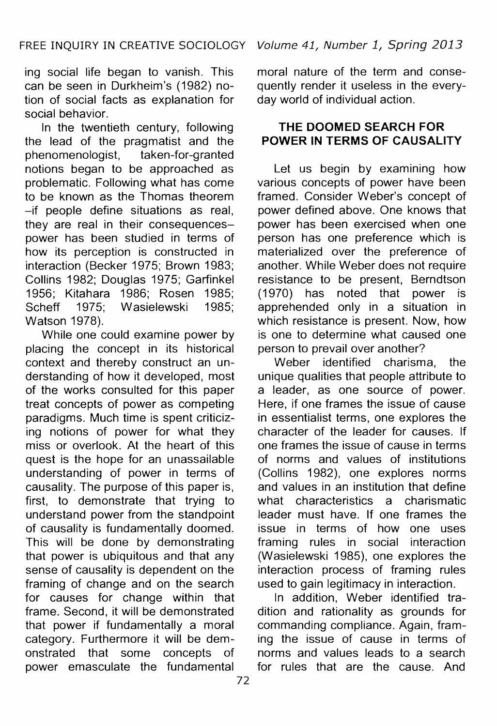ing social life began to vanish. This can be seen in Durkheim's (1982) notion of social facts as explanation for social behavior.

In the twentieth century, following the lead of the pragmatist and the<br>phenomenologist, taken-for-granted taken-for-granted notions began to be approached as problematic. Following what has come to be known as the Thomas theorem -if people define situations as real, they are real in their consequencespower has been studied in terms of how its perception is constructed in interaction (Becker 1975; Brown 1983; Collins 1982; Douglas 1975; Garfinkel 1956; Kitahara 1986; Rosen 1985; Scheff 1975; Wasielewski 1985; Watson 1978).

While one could examine power by placing the concept in its historical context and thereby construct an understanding of how it developed, most of the works consulted for this paper treat concepts of power as competing paradigms. Much time is spent criticizing notions of power for what they miss or overlook. At the heart of this quest is the hope for an unassailable understanding of power in terms of causality. The purpose of this paper is, first, to demonstrate that trying to understand power from the standpoint of causality is fundamentally doomed. This will be done by demonstrating that power is ubiquitous and that any sense of causality is dependent on the framing of change and on the search for causes for change within that frame. Second, it will be demonstrated that power if fundamentally a moral category. Furthermore it will be demonstrated that some concepts of power emasculate the fundamental

moral nature of the term and consequently render it useless in the everyday world of individual action.

# **THE DOOMED SEARCH FOR POWER IN TERMS OF CAUSALITY**

Let us begin by examining how various concepts of power have been framed. Consider Weber's concept of power defined above. One knows that power has been exercised when one person has one preference which is materialized over the preference of another. While Weber does not require resistance to be present, Berndtson (1970) has noted that power is apprehended only in a situation in which resistance is present. Now, how is one to determine what caused one person to prevail over another?

Weber identified charisma, the unique qualities that people attribute to a leader, as one source of power. Here, if one frames the issue of cause in essentialist terms, one explores the character of the leader for causes. If one frames the issue of cause in terms of norms and values of institutions (Collins 1982), one explores norms and values in an institution that define what characteristics a charismatic leader must have. If one frames the issue in terms of how one uses framing rules in social interaction (Wasielewski 1985), one explores the interaction process of framing rules used to gain legitimacy in interaction.

In addition, Weber identified tradition and rationality as grounds for commanding compliance. Again, framing the issue of cause in terms of norms and values leads to a search for rules that are the cause. And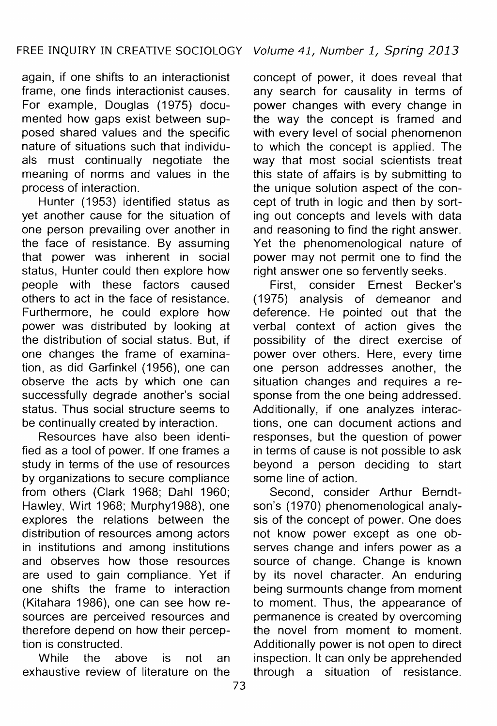again, if one shifts to an interactionist frame, one finds interactionist causes. For example, Douglas (1975) documented how gaps exist between supposed shared values and the specific nature of situations such that individuals must continually negotiate the meaning of norms and values in the process of interaction.

Hunter (1953) identified status as yet another cause for the situation of one person prevailing over another in the face of resistance. By assuming that power was inherent in social status, Hunter could then explore how people with these factors caused others to act in the face of resistance. Furthermore, he could explore how power was distributed by looking at the distribution of social status. But, if one changes the frame of examination, as did Garfinkel (1956), one can observe the acts by which one can successfully degrade another's social status. Thus social structure seems to be continually created by interaction.

Resources have also been identified as a tool of power. If one frames a study in terms of the use of resources by organizations to secure compliance from others (Clark 1968; Dahl 1960; Hawley, Wirt 1968; Murphy1988), one explores the relations between the distribution of resources among actors in institutions and among institutions and observes how those resources are used to gain compliance. Yet if one shifts the frame to interaction (Kitahara 1986), one can see how resources are perceived resources and therefore depend on how their perception is constructed.

While the above is not an exhaustive review of literature on the concept of power, it does reveal that any search for causality in terms of power changes with every change in the way the concept is framed and with every level of social phenomenon to which the concept is applied. The way that most social scientists treat this state of affairs is by submitting to the unique solution aspect of the concept of truth in logic and then by sorting out concepts and levels with data and reasoning to find the right answer. Yet the phenomenological nature of power may not permit one to find the right answer one so fervently seeks.

First, consider Ernest Becker's (1975) analysis of demeanor and deference. He pointed out that the verbal context of action gives the possibility of the direct exercise of power over others. Here, every time one person addresses another, the situation changes and requires a response from the one being addressed. Additionally, if one analyzes interactions, one can document actions and responses, but the question of power in terms of cause is not possible to ask beyond a person deciding to start some line of action.

Second, consider Arthur Berndtson's (1970) phenomenological analysis of the concept of power. One does not know power except as one observes change and infers power as a source of change. Change is known by its novel character. An enduring being surmounts change from moment to moment. Thus, the appearance of permanence is created by overcoming the novel from moment to moment. Additionally power is not open to direct inspection. It can only be apprehended through a situation of resistance.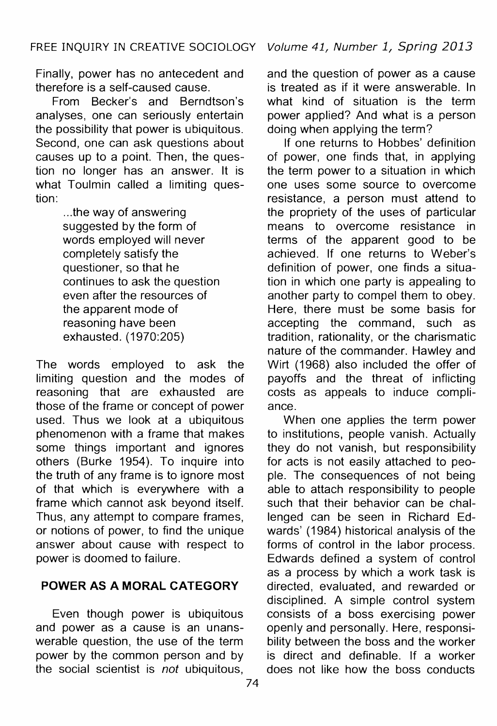Finally, power has no antecedent and therefore is a self-caused cause.

From Becker's and Berndtson's analyses, one can seriously entertain the possibility that power is ubiquitous. Second, one can ask questions about causes up to a point. Then, the question no longer has an answer. It is what Toulmin called a limiting question:

> ... the way of answering suggested by the form of words employed will never completely satisfy the questioner, so that he continues to ask the question even after the resources of the apparent mode of reasoning have been exhausted. (1970:205)

The words employed to ask the limiting question and the modes of reasoning that are exhausted are those of the frame or concept of power used. Thus we look at a ubiquitous phenomenon with a frame that makes some things important and ignores others (Burke 1954). To inquire into the truth of any frame is to ignore most of that which is everywhere with a frame which cannot ask beyond itself. Thus, any attempt to compare frames, or notions of power, to find the unique answer about cause with respect to power is doomed to failure.

#### **POWER AS A MORAL CATEGORY**

Even though power is ubiquitous and power as a cause is an unanswerable question, the use of the term power by the common person and by the social scientist is *not* ubiquitous, and the question of power as a cause is treated as if it were answerable. In what kind of situation is the term power applied? And what is a person doing when applying the term?

If one returns to Hobbes' definition of power, one finds that, in applying the term power to a situation in which one uses some source to overcome resistance, a person must attend to the propriety of the uses of particular means to overcome resistance in terms of the apparent good to be achieved. If one returns to Weber's definition of power, one finds a situation in which one party is appealing to another party to compel them to obey. Here, there must be some basis for accepting the command, such as tradition, rationality, or the charismatic nature of the commander. Hawley and Wirt (1968) also included the offer of payoffs and the threat of inflicting costs as appeals to induce compliance.

When one applies the term power to institutions, people vanish. Actually they do not vanish, but responsibility for acts is not easily attached to people. The consequences of not being able to attach responsibility to people such that their behavior can be challenged can be seen in Richard Edwards' (1984) historical analysis of the forms of control in the labor process. Edwards defined a system of control as a process by which a work task is directed, evaluated, and rewarded or disciplined. A simple control system consists of a boss exercising power openly and personally. Here, responsibility between the boss and the worker is direct and definable. If a worker does not like how the boss conducts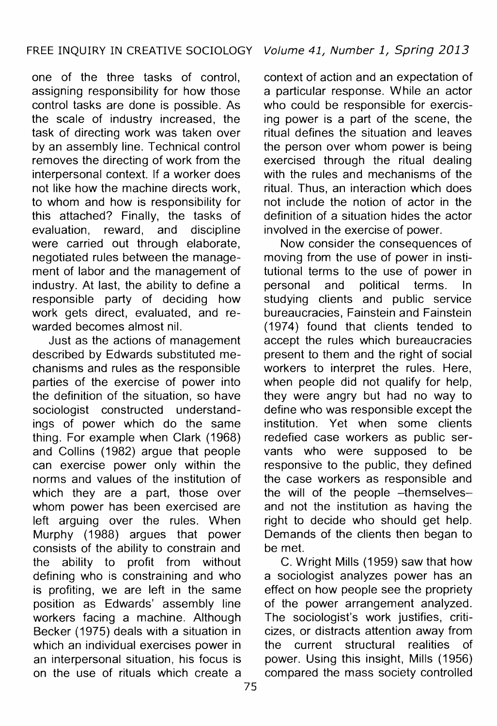one of the three tasks of control, assigning responsibility for how those control tasks are done is possible. As the scale of industry increased, the task of directing work was taken over by an assembly line. Technical control removes the directing of work from the interpersonal context. If a worker does not like how the machine directs work, to whom and how is responsibility for this attached? Finally, the tasks of evaluation, reward, and discipline were carried out through elaborate, negotiated rules between the management of labor and the management of industry. At last, the ability to define a responsible party of deciding how work gets direct, evaluated, and rewarded becomes almost nil.

Just as the actions of management described by Edwards substituted mechanisms and rules as the responsible parties of the exercise of power into the definition of the situation, so have sociologist constructed understandings of power which do the same thing. For example when Clark (1968) and Collins ( 1982) argue that people can exercise power only within the norms and values of the institution of which they are a part, those over whom power has been exercised are left arguing over the rules. When Murphy (1988) argues that power consists of the ability to constrain and the ability to profit from without defining who is constraining and who is profiting, we are left in the same position as Edwards' assembly line workers facing a machine. Although Becker (1975) deals with a situation in which an individual exercises power in an interpersonal situation, his focus is on the use of rituals which create a

context of action and an expectation of a particular response. While an actor who could be responsible for exercising power is a part of the scene, the ritual defines the situation and leaves the person over whom power is being exercised through the ritual dealing with the rules and mechanisms of the ritual. Thus, an interaction which does not include the notion of actor in the definition of a situation hides the actor involved in the exercise of power.

Now consider the consequences of moving from the use of power in institutional terms to the use of power in personal and political terms. In studying clients and public service bureaucracies, Fainstein and Fainstein (1974) found that clients tended to accept the rules which bureaucracies present to them and the right of social workers to interpret the rules. Here, when people did not qualify for help, they were angry but had no way to define who was responsible except the institution. Yet when some clients redefied case workers as public servants who were supposed to be responsive to the public, they defined the case workers as responsible and the will of the people -themselvesand not the institution as having the right to decide who should get help. Demands of the clients then began to be met.

C. Wright Mills (1959) saw that how a sociologist analyzes power has an effect on how people see the propriety of the power arrangement analyzed. The sociologist's work justifies, criticizes, or distracts attention away from the current structural realities of power. Using this insight, Mills (1956) compared the mass society controlled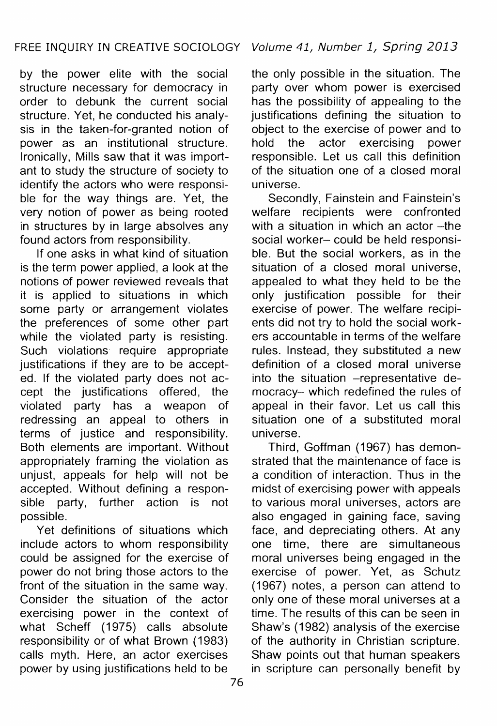by the power elite with the social structure necessary for democracy in order to debunk the current social structure. Yet, he conducted his analysis in the taken-for-granted notion of power as an institutional structure. Ironically, Mills saw that it was important to study the structure of society to identify the actors who were responsible for the way things are. Yet, the very notion of power as being rooted in structures by in large absolves any found actors from responsibility.

If one asks in what kind of situation is the term power applied, a look at the notions of power reviewed reveals that it is applied to situations in which some party or arrangement violates the preferences of some other part while the violated party is resisting. Such violations require appropriate justifications if they are to be accepted. If the violated party does not accept the justifications offered, the violated party has a weapon of redressing an appeal to others in terms of justice and responsibility. Both elements are important. Without appropriately framing the violation as unjust, appeals for help will not be accepted. Without defining a responsible party, further action is not possible.

Yet definitions of situations which include actors to whom responsibility could be assigned for the exercise of power do not bring those actors to the front of the situation in the same way. Consider the situation of the actor exercising power in the context of what Scheff (1975) calls absolute responsibility or of what Brown (1983) calls myth. Here, an actor exercises power by using justifications held to be

the only possible in the situation. The party over whom power is exercised has the possibility of appealing to the justifications defining the situation to object to the exercise of power and to hold the actor exercising power responsible. Let us call this definition of the situation one of a closed moral universe.

Secondly, Fainstein and Fainstein's welfare recipients were confronted with a situation in which an actor  $-$ the social worker- could be held responsible. But the social workers, as in the situation of a closed moral universe. appealed to what they held to be the only justification possible for their exercise of power. The welfare recipients did not try to hold the social workers accountable in terms of the welfare rules. Instead, they substituted a new definition of a closed moral universe into the situation -representative democracy- which redefined the rules of appeal in their favor. Let us call this situation one of a substituted moral universe.

Third, Goffman (1967) has demonstrated that the maintenance of face is a condition of interaction. Thus in the midst of exercising power with appeals to various moral universes, actors are also engaged in gaining face, saving face, and depreciating others. At any one time, there are simultaneous moral universes being engaged in the exercise of power. Yet, as Schutz (1967) notes, a person can attend to only one of these moral universes at a time. The results of this can be seen in Shaw's (1982) analysis of the exercise of the authority in Christian scripture. Shaw points out that human speakers in scripture can personally benefit by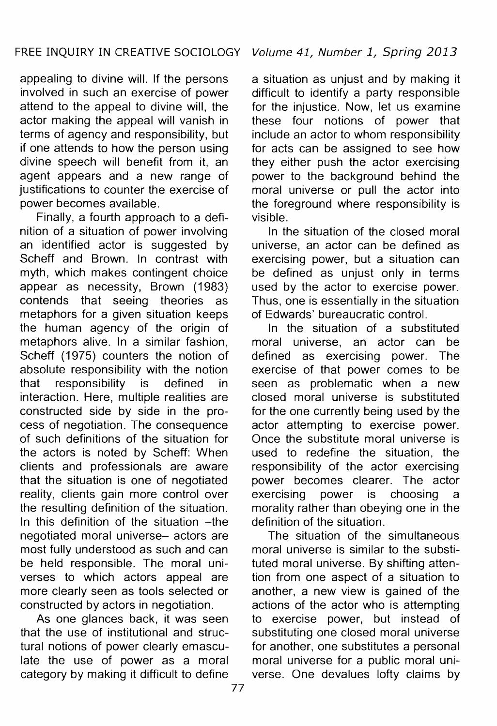appealing to divine will. If the persons involved in such an exercise of power attend to the appeal to divine will, the actor making the appeal will vanish in terms of agency and responsibility, but if one attends to how the person using divine speech will benefit from it, an agent appears and a new range of justifications to counter the exercise of power becomes available.

Finally, a fourth approach to a definition of a situation of power involving an identified actor is suggested by Scheff and Brown. In contrast with myth, which makes contingent choice appear as necessity, Brown (1983) contends that seeing theories as metaphors for a given situation keeps the human agency of the origin of metaphors alive. In a similar fashion, Scheff (1975) counters the notion of absolute responsibility with the notion that responsibility is defined in interaction. Here, multiple realities are constructed side by side in the process of negotiation. The consequence of such definitions of the situation for the actors is noted by Scheff: When clients and professionals are aware that the situation is one of negotiated reality, clients gain more control over the resulting definition of the situation. In this definition of the situation -the negotiated moral universe- actors are most fully understood as such and can be held responsible. The moral universes to which actors appeal are more clearly seen as tools selected or constructed by actors in negotiation.

As one glances back, it was seen that the use of institutional and structural notions of power clearly emasculate the use of power as a moral category by making it difficult to define

a situation as unjust and by making it difficult to identify a party responsible for the injustice. Now, let us examine these four notions of power that include an actor to whom responsibility for acts can be assigned to see how they either push the actor exercising power to the background behind the moral universe or pull the actor into the foreground where responsibility is visible.

In the situation of the closed moral universe, an actor can be defined as exercising power, but a situation can be defined as uniust only in terms used by the actor to exercise power. Thus, one is essentially in the situation of Edwards' bureaucratic control.

In the situation of a substituted moral universe, an actor can be defined as exercising power. The exercise of that power comes to be seen as problematic when a new closed moral universe is substituted for the one currently being used by the actor attempting to exercise power. Once the substitute moral universe is used to redefine the situation, the responsibility of the actor exercising power becomes clearer. The actor exercising power is choosing a morality rather than obeying one in the definition of the situation.

The situation of the simultaneous moral universe is similar to the substituted moral universe. By shifting attention from one aspect of a situation to another, a new view is gained of the actions of the actor who is attempting to exercise power, but instead of substituting one closed moral universe for another, one substitutes a personal moral universe for a public moral universe. One devalues lofty claims by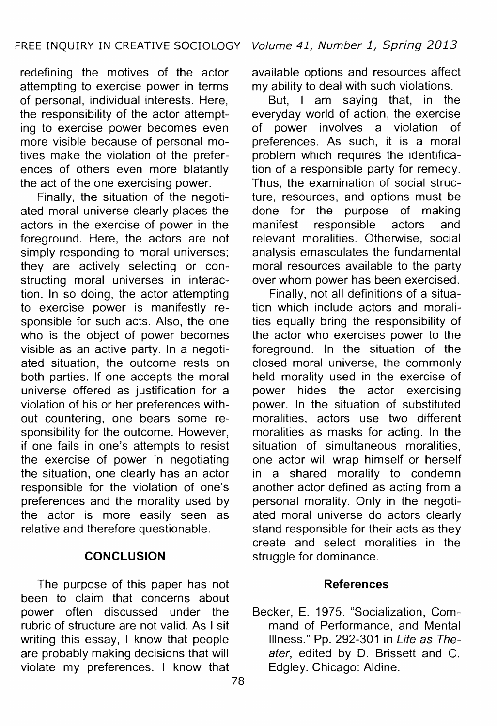redefining the motives of the actor attempting to exercise power in terms of personal, individual interests. Here, the responsibility of the actor attempting to exercise power becomes even more visible because of personal motives make the violation of the preferences of others even more blatantly the act of the one exercising power.

Finally, the situation of the negotiated moral universe clearly places the actors in the exercise of power in the foreground. Here, the actors are not simply responding to moral universes; they are actively selecting or constructing moral universes in interaction. In so doing, the actor attempting to exercise power is manifestly responsible for such acts. Also, the one who is the object of power becomes visible as an active party. In a negotiated situation, the outcome rests on both parties. If one accepts the moral universe offered as justification for a violation of his or her preferences without countering, one bears some responsibility for the outcome. However, if one fails in one's attempts to resist the exercise of power in negotiating the situation, one clearly has an actor responsible for the violation of one's preferences and the morality used by the actor is more easily seen as relative and therefore questionable.

#### **CONCLUSION**

The purpose of this paper has not been to claim that concerns about power often discussed under the rubric of structure are not valid. As I sit writing this essay, I know that people are probably making decisions that will violate my preferences. I know that available options and resources affect my ability to deal with such violations.

But, I am saying that, in the everyday world of action, the exercise of power involves a violation of preferences. As such, it is a moral problem which requires the identification of a responsible party for remedy. Thus, the examination of social structure, resources, and options must be done for the purpose of making manifest responsible actors and relevant moralities. Otherwise, social analysis emasculates the fundamental moral resources available to the party over whom power has been exercised.

Finally, not all definitions of a situation which include actors and moralities equally bring the responsibility of the actor who exercises power to the foreground. In the situation of the closed moral universe, the commonly held morality used in the exercise of power hides the actor exercising power. In the situation of substituted moralities, actors use two different moralities as masks for acting. In the situation of simultaneous moralities, one actor will wrap himself or herself in a shared morality to condemn another actor defined as acting from a personal morality. Only in the negotiated moral universe do actors clearly stand responsible for their acts as they create and select moralities in the struggle for dominance.

#### **References**

Becker, E. 1975. "Socialization, Command of Performance, and Mental Illness." Pp. 292-301 in Life as Theater, edited by D. Brissett and C. Edgley. Chicago: Aldine.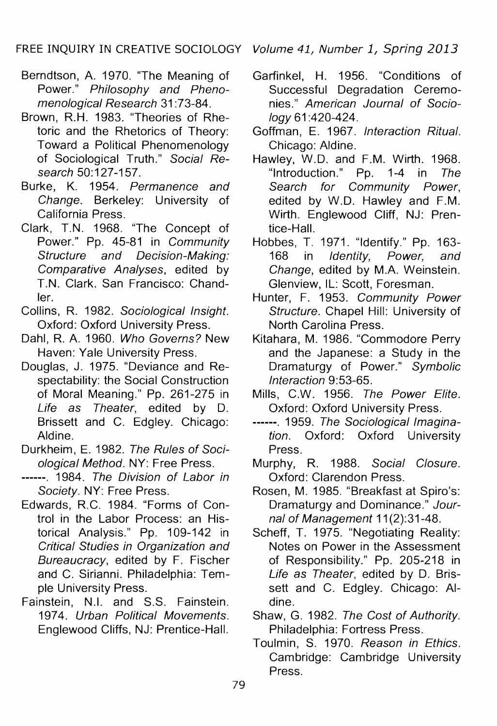- Berndtson, A. 1970. "The Meaning of Power." Philosophy and Phenomenological Research 31 :73-84.
- Brown, R.H. 1983. "Theories of Rhetoric and the Rhetorics of Theory: Toward a Political Phenomenology of Sociological Truth." Social Research 50:127-157.
- Burke, K. 1954. Permanence and Change. Berkeley: University of California Press.
- Clark, T.N. 1968. "The Concept of Power." Pp. 45-81 in Community Structure and Decision-Making: Comparative Analyses, edited by T.N. Clark. San Francisco: Chandler.
- Collins, R. 1982. Sociological Insight. Oxford: Oxford University Press.
- Dahl, R. A. 1960. Who Governs? New Haven: Yale University Press.
- Douglas, J. 1975. "Deviance and Respectability: the Social Construction of Moral Meaning." Pp. 261-275 in Life as Theater, edited by D. Brissett and C. Edgley. Chicago: Aldine.
- Durkheim, E. 1982. The Rules of Sociological Method. NY: Free Press.
- ------. 1984. The Division of Labor in Society. NY: Free Press.
- Edwards, R.C. 1984. "Forms of Control in the Labor Process: an Historical Analysis." Pp. 109-142 in Critical Studies in Organization and Bureaucracy, edited by F. Fischer and C. Sirianni. Philadelphia: Temple University Press.
- Fainstein, N.I. and S.S. Fainstein. 1974. Urban Political Movements. Englewood Cliffs, NJ: Prentice-Hall.

- Garfinkel, H. 1956. "Conditions of Successful Degradation Ceremonies." American Journal of Sociology 61 :420-424.
- Goffman, E. 1967. Interaction Ritual. Chicago: Aldine.
- Hawley, W.D. and F.M. Wirth. 1968. "Introduction." Pp. 1-4 in The Search for Community Power, edited by W.D. Hawley and F.M. Wirth. Englewood Cliff, NJ: Prentice-Hall.
- Hobbes, T. 1971. "Identify." Pp. 163-<br>168 in *Identity. Power. and* in *Identity*. Change, edited by M.A. Weinstein. Glenview, IL: Scott, Foresman.
- Hunter, F. 1953. Community Power Structure. Chapel Hill: University of North Carolina Press.
- Kitahara, M. 1986. "Commodore Perry and the Japanese: a Study in the Dramaturgy of Power." Symbolic Interaction 9:53-65.
- Mills, C.W. 1956. The Power Elite. Oxford: Oxford University Press.
- ------. 1959. The Sociological Imagination. Oxford: Oxford University Press.
- Murphy, R. 1988. Social Closure. Oxford: Clarendon Press.
- Rosen, M. 1985. "Breakfast at Spiro's: Dramaturgy and Dominance." Journal of Management 11(2):31-48.
- Scheff, T. 1975. "Negotiating Reality: Notes on Power in the Assessment of Responsibility." Pp. 205-218 in Life as Theater, edited by D. Brissett and C. Edgley. Chicago: Aldine.
- Shaw, G. 1982. The Cost of Authority. Philadelphia: Fortress Press.
- Toulmin, S. 1970. Reason in Ethics. Cambridge: Cambridge University Press.